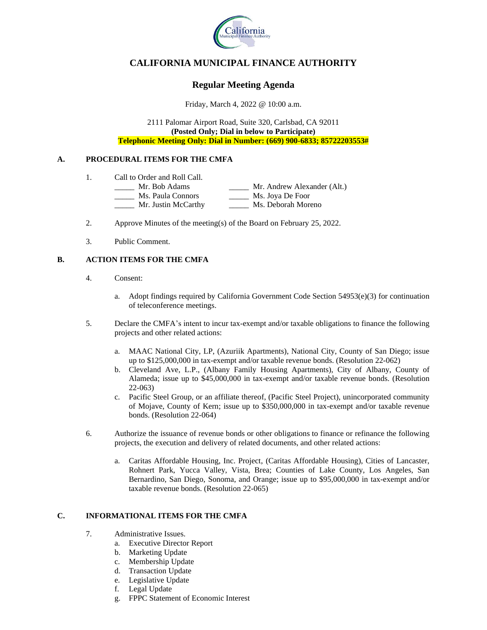

# **CALIFORNIA MUNICIPAL FINANCE AUTHORITY**

## **Regular Meeting Agenda**

Friday, March 4, 2022 @ 10:00 a.m.

2111 Palomar Airport Road, Suite 320, Carlsbad, CA 92011 **(Posted Only; Dial in below to Participate) Telephonic Meeting Only: Dial in Number: (669) 900-6833; 85722203553#**

### **A. PROCEDURAL ITEMS FOR THE CMFA**

- 1. Call to Order and Roll Call.
	- \_\_\_\_\_ Mr. Bob Adams \_\_\_\_\_ Mr. Andrew Alexander (Alt.) \_\_\_\_\_ Ms. Paula Connors \_\_\_\_\_ Ms. Joya De Foor
		- \_\_\_\_\_ Mr. Justin McCarthy \_\_\_\_\_ Ms. Deborah Moreno
- 2. Approve Minutes of the meeting(s) of the Board on February 25, 2022.
- 3. Public Comment.

### **B. ACTION ITEMS FOR THE CMFA**

- 4. Consent:
	- a. Adopt findings required by California Government Code Section  $54953(e)(3)$  for continuation of teleconference meetings.
- 5. Declare the CMFA's intent to incur tax-exempt and/or taxable obligations to finance the following projects and other related actions:
	- a. MAAC National City, LP, (Azuriik Apartments), National City, County of San Diego; issue up to \$125,000,000 in tax-exempt and/or taxable revenue bonds. (Resolution 22-062)
	- b. Cleveland Ave, L.P., (Albany Family Housing Apartments), City of Albany, County of Alameda; issue up to \$45,000,000 in tax-exempt and/or taxable revenue bonds. (Resolution 22-063)
	- c. Pacific Steel Group, or an affiliate thereof, (Pacific Steel Project), unincorporated community of Mojave, County of Kern; issue up to \$350,000,000 in tax-exempt and/or taxable revenue bonds. (Resolution 22-064)
- 6. Authorize the issuance of revenue bonds or other obligations to finance or refinance the following projects, the execution and delivery of related documents, and other related actions:
	- a. Caritas Affordable Housing, Inc. Project, (Caritas Affordable Housing), Cities of Lancaster, Rohnert Park, Yucca Valley, Vista, Brea; Counties of Lake County, Los Angeles, San Bernardino, San Diego, Sonoma, and Orange; issue up to \$95,000,000 in tax-exempt and/or taxable revenue bonds. (Resolution 22-065)

### **C. INFORMATIONAL ITEMS FOR THE CMFA**

- 7. Administrative Issues.
	- a. Executive Director Report
	- b. Marketing Update
	- c. Membership Update
	- d. Transaction Update
	- e. Legislative Update
	- f. Legal Update
	- g. FPPC Statement of Economic Interest